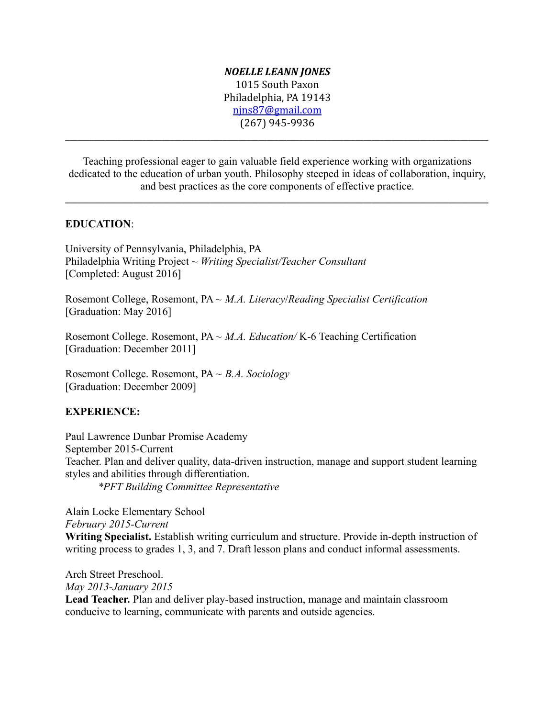## *NOELLE LEANN JONES* 1015 South Paxon Philadelphia, PA 19143 [njns87@gmail.com](mailto:njns87@gmail.com) (267) 945-9936

Teaching professional eager to gain valuable field experience working with organizations dedicated to the education of urban youth. Philosophy steeped in ideas of collaboration, inquiry, and best practices as the core components of effective practice.

\_\_\_\_\_\_\_\_\_\_\_\_\_\_\_\_\_\_\_\_\_\_\_\_\_\_\_\_\_\_\_\_\_\_\_\_\_\_\_\_\_\_\_\_\_\_\_\_\_\_\_\_\_\_\_\_\_\_\_\_\_\_\_\_\_\_\_\_\_\_\_\_\_\_\_\_\_\_\_\_\_\_\_\_\_\_\_\_\_\_\_\_\_\_\_\_\_\_\_\_\_\_\_\_\_

\_\_\_\_\_\_\_\_\_\_\_\_\_\_\_\_\_\_\_\_\_\_\_\_\_\_\_\_\_\_\_\_\_\_\_\_\_\_\_\_\_\_\_\_\_\_\_\_\_\_\_\_\_\_\_\_\_\_\_\_\_\_\_\_\_\_\_\_\_\_\_\_\_\_\_\_\_\_\_\_\_\_\_\_\_\_\_\_\_\_\_\_\_\_\_\_\_\_\_\_\_\_\_\_\_

## **EDUCATION**:

University of Pennsylvania, Philadelphia, PA Philadelphia Writing Project ~ *Writing Specialist/Teacher Consultant* [Completed: August 2016]

Rosemont College, Rosemont, PA ~ *M.A. Literacy*/*Reading Specialist Certification* [Graduation: May 2016]

Rosemont College. Rosemont, PA ~ *M.A. Education/* K-6 Teaching Certification [Graduation: December 2011]

Rosemont College. Rosemont, PA ~ *B.A. Sociology* [Graduation: December 2009]

## **EXPERIENCE:**

Paul Lawrence Dunbar Promise Academy September 2015-Current Teacher. Plan and deliver quality, data-driven instruction, manage and support student learning styles and abilities through differentiation. *\*PFT Building Committee Representative*

Alain Locke Elementary School *February 2015-Current* **Writing Specialist.** Establish writing curriculum and structure. Provide in-depth instruction of writing process to grades 1, 3, and 7. Draft lesson plans and conduct informal assessments.

Arch Street Preschool. *May 2013-January 2015* **Lead Teacher.** Plan and deliver play-based instruction, manage and maintain classroom conducive to learning, communicate with parents and outside agencies.